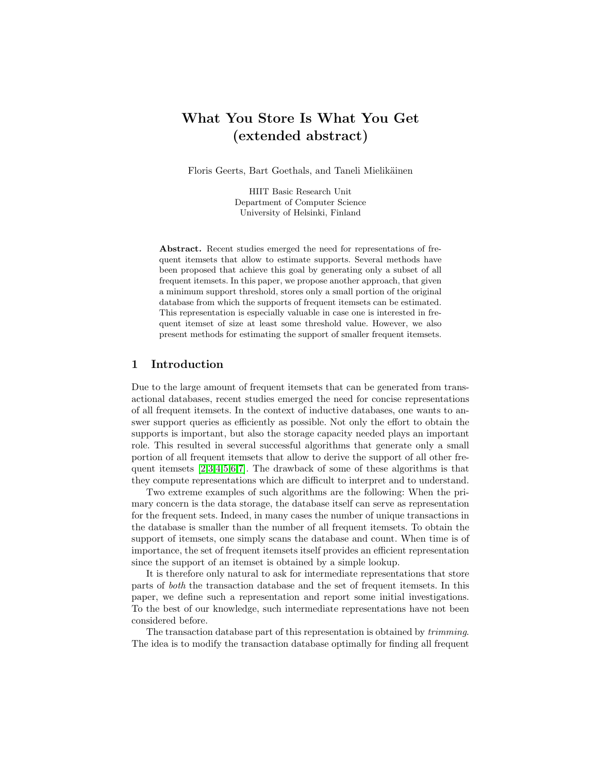# What You Store Is What You Get (extended abstract)

Floris Geerts, Bart Goethals, and Taneli Mielikäinen

HIIT Basic Research Unit Department of Computer Science University of Helsinki, Finland

Abstract. Recent studies emerged the need for representations of frequent itemsets that allow to estimate supports. Several methods have been proposed that achieve this goal by generating only a subset of all frequent itemsets. In this paper, we propose another approach, that given a minimum support threshold, stores only a small portion of the original database from which the supports of frequent itemsets can be estimated. This representation is especially valuable in case one is interested in frequent itemset of size at least some threshold value. However, we also present methods for estimating the support of smaller frequent itemsets.

## 1 Introduction

Due to the large amount of frequent itemsets that can be generated from transactional databases, recent studies emerged the need for concise representations of all frequent itemsets. In the context of inductive databases, one wants to answer support queries as efficiently as possible. Not only the effort to obtain the supports is important, but also the storage capacity needed plays an important role. This resulted in several successful algorithms that generate only a small portion of all frequent itemsets that allow to derive the support of all other frequent itemsets  $[2,3,4,5,6,7]$  $[2,3,4,5,6,7]$  $[2,3,4,5,6,7]$  $[2,3,4,5,6,7]$  $[2,3,4,5,6,7]$  $[2,3,4,5,6,7]$ . The drawback of some of these algorithms is that they compute representations which are difficult to interpret and to understand.

Two extreme examples of such algorithms are the following: When the primary concern is the data storage, the database itself can serve as representation for the frequent sets. Indeed, in many cases the number of unique transactions in the database is smaller than the number of all frequent itemsets. To obtain the support of itemsets, one simply scans the database and count. When time is of importance, the set of frequent itemsets itself provides an efficient representation since the support of an itemset is obtained by a simple lookup.

It is therefore only natural to ask for intermediate representations that store parts of both the transaction database and the set of frequent itemsets. In this paper, we define such a representation and report some initial investigations. To the best of our knowledge, such intermediate representations have not been considered before.

The transaction database part of this representation is obtained by trimming. The idea is to modify the transaction database optimally for finding all frequent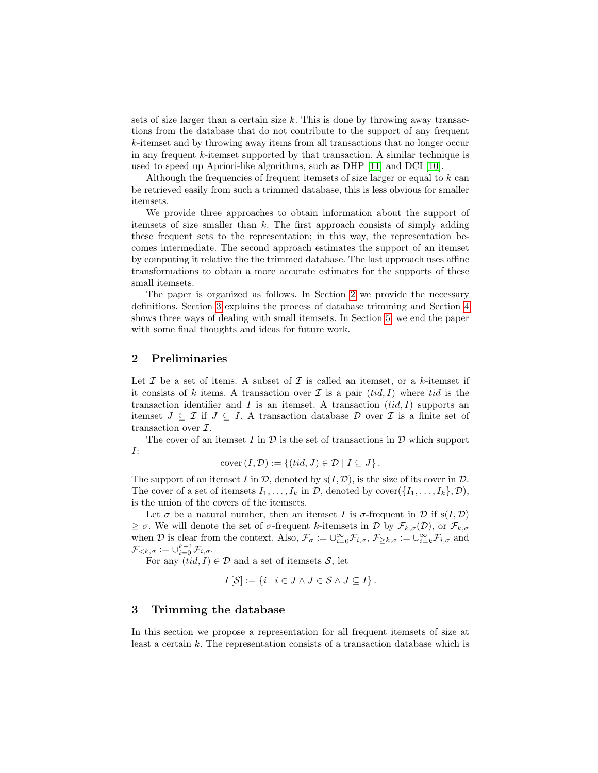sets of size larger than a certain size  $k$ . This is done by throwing away transactions from the database that do not contribute to the support of any frequent k-itemset and by throwing away items from all transactions that no longer occur in any frequent k-itemset supported by that transaction. A similar technique is used to speed up Apriori-like algorithms, such as DHP [\[11\]](#page-8-6) and DCI [\[10\]](#page-8-7).

Although the frequencies of frequent itemsets of size larger or equal to  $k$  can be retrieved easily from such a trimmed database, this is less obvious for smaller itemsets.

We provide three approaches to obtain information about the support of itemsets of size smaller than  $k$ . The first approach consists of simply adding these frequent sets to the representation; in this way, the representation becomes intermediate. The second approach estimates the support of an itemset by computing it relative the the trimmed database. The last approach uses affine transformations to obtain a more accurate estimates for the supports of these small itemsets.

The paper is organized as follows. In Section [2](#page-1-0) we provide the necessary definitions. Section [3](#page-1-1) explains the process of database trimming and Section [4](#page-3-0) shows three ways of dealing with small itemsets. In Section [5,](#page-7-0) we end the paper with some final thoughts and ideas for future work.

## <span id="page-1-0"></span>2 Preliminaries

Let  $\mathcal I$  be a set of items. A subset of  $\mathcal I$  is called an itemset, or a k-itemset if it consists of k items. A transaction over  $\mathcal I$  is a pair  $(tid, I)$  where tid is the transaction identifier and I is an itemset. A transaction  $(id, I)$  supports an itemset  $J \subseteq \mathcal{I}$  if  $J \subseteq I$ . A transaction database  $\mathcal{D}$  over  $\mathcal{I}$  is a finite set of transaction over  $\mathcal{I}$ .

The cover of an itemset I in  $\mathcal D$  is the set of transactions in  $\mathcal D$  which support I:

$$
cover (I, \mathcal{D}) := \{(tid, J) \in \mathcal{D} \mid I \subseteq J\}.
$$

The support of an itemset I in  $\mathcal{D}$ , denoted by  $s(I, \mathcal{D})$ , is the size of its cover in  $\mathcal{D}$ . The cover of a set of itemsets  $I_1, \ldots, I_k$  in  $\mathcal{D}$ , denoted by cover $(\{I_1, \ldots, I_k\}, \mathcal{D})$ , is the union of the covers of the itemsets.

Let  $\sigma$  be a natural number, then an itemset I is  $\sigma$ -frequent in  $\mathcal D$  if  $s(I, \mathcal D)$  $\geq \sigma$ . We will denote the set of  $\sigma$ -frequent k-itemsets in D by  $\mathcal{F}_{k,\sigma}(\mathcal{D})$ , or  $\mathcal{F}_{k,\sigma}$ when D is clear from the context. Also,  $\mathcal{F}_{\sigma} := \cup_{i=0}^{\infty} \mathcal{F}_{i,\sigma}$ ,  $\mathcal{F}_{\geq k,\sigma} := \cup_{i=k}^{\infty} \mathcal{F}_{i,\sigma}$  and  $\mathcal{F}_{< k, \sigma} := \cup_{i=0}^{k-1} \mathcal{F}_{i, \sigma}.$ 

For any  $(tid, I) \in \mathcal{D}$  and a set of itemsets S, let

$$
I[\mathcal{S}] := \{ i \mid i \in J \land J \in \mathcal{S} \land J \subseteq I \}.
$$

## <span id="page-1-1"></span>3 Trimming the database

In this section we propose a representation for all frequent itemsets of size at least a certain  $k$ . The representation consists of a transaction database which is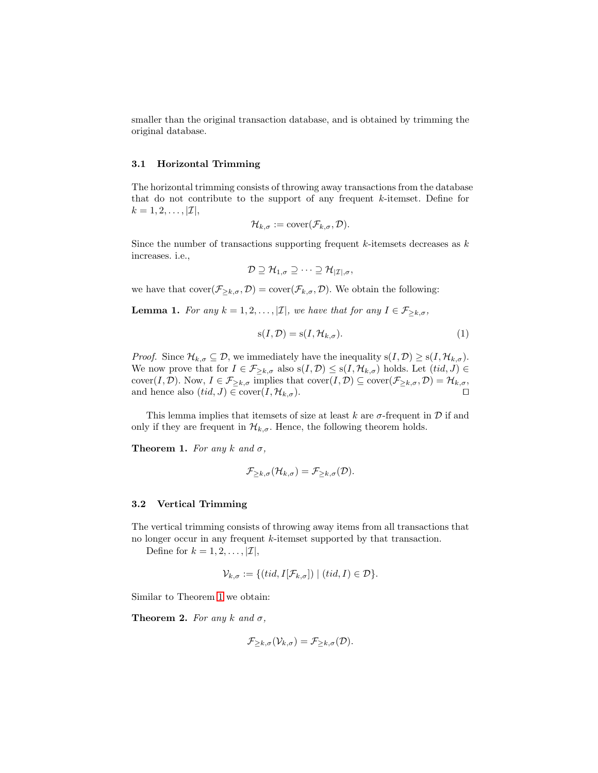smaller than the original transaction database, and is obtained by trimming the original database.

#### 3.1 Horizontal Trimming

The horizontal trimming consists of throwing away transactions from the database that do not contribute to the support of any frequent k-itemset. Define for  $k = 1, 2, \ldots, |\mathcal{I}|,$ 

$$
\mathcal{H}_{k,\sigma}:=\mathrm{cover}(\mathcal{F}_{k,\sigma},\mathcal{D}).
$$

Since the number of transactions supporting frequent  $k$ -itemsets decreases as  $k$ increases. i.e.,

$$
\mathcal{D} \supseteq \mathcal{H}_{1,\sigma} \supseteq \cdots \supseteq \mathcal{H}_{|\mathcal{I}|,\sigma},
$$

we have that  $cover(\mathcal{F}_{\geq k,\sigma}, \mathcal{D}) = cover(\mathcal{F}_{k,\sigma}, \mathcal{D})$ . We obtain the following:

**Lemma 1.** For any  $k = 1, 2, ..., |\mathcal{I}|$ , we have that for any  $I \in \mathcal{F}_{\geq k, \sigma}$ ,

$$
s(I, \mathcal{D}) = s(I, \mathcal{H}_{k, \sigma}).
$$
\n<sup>(1)</sup>

*Proof.* Since  $\mathcal{H}_{k,\sigma} \subseteq \mathcal{D}$ , we immediately have the inequality  $s(I,\mathcal{D}) \geq s(I,\mathcal{H}_{k,\sigma})$ . We now prove that for  $I \in \mathcal{F}_{\geq k,\sigma}$  also  $s(I,\mathcal{D}) \leq s(I,\mathcal{H}_{k,\sigma})$  holds. Let  $(tid, J) \in$ cover $(I, \mathcal{D})$ . Now,  $I \in \mathcal{F}_{\geq k,\sigma}$  implies that  $\mathrm{cover}(I, \mathcal{D}) \subseteq \mathrm{cover}(\mathcal{F}_{\geq k,\sigma}, \mathcal{D}) = \mathcal{H}_{k,\sigma}$ , and hence also  $(tid, J) \in \text{cover}(I, \mathcal{H}_{k,\sigma}).$ 

This lemma implies that itemsets of size at least k are  $\sigma$ -frequent in  $\mathcal D$  if and only if they are frequent in  $\mathcal{H}_{k,\sigma}$ . Hence, the following theorem holds.

**Theorem 1.** For any k and  $\sigma$ ,

<span id="page-2-0"></span>
$$
\mathcal{F}_{\geq k,\sigma}(\mathcal{H}_{k,\sigma})=\mathcal{F}_{\geq k,\sigma}(\mathcal{D}).
$$

#### 3.2 Vertical Trimming

The vertical trimming consists of throwing away items from all transactions that no longer occur in any frequent k-itemset supported by that transaction.

Define for  $k = 1, 2, \ldots, |\mathcal{I}|$ ,

$$
\mathcal{V}_{k,\sigma} := \{ (tid, I[\mathcal{F}_{k,\sigma}]) \mid (tid, I) \in \mathcal{D} \}.
$$

Similar to Theorem [1](#page-2-0) we obtain:

**Theorem 2.** For any k and  $\sigma$ ,

$$
\mathcal{F}_{\geq k,\sigma}(\mathcal{V}_{k,\sigma})=\mathcal{F}_{\geq k,\sigma}(\mathcal{D}).
$$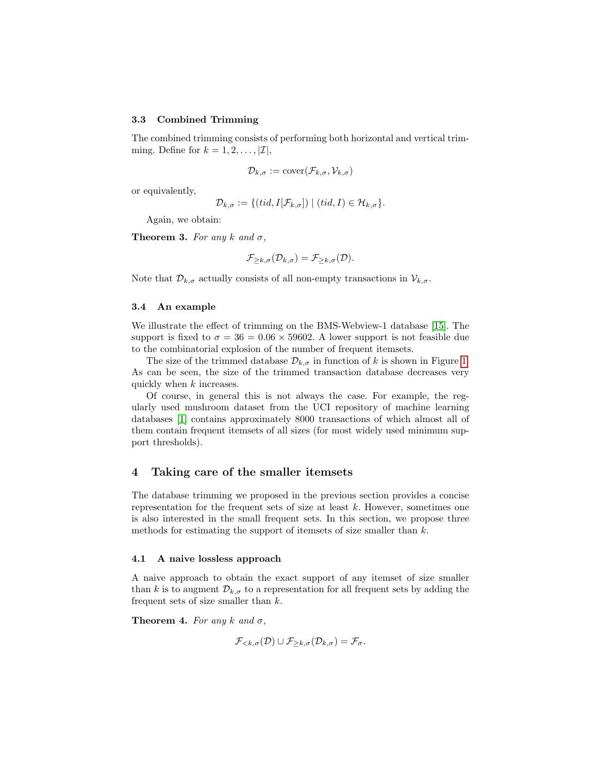#### 3.3 Combined Trimming

The combined trimming consists of performing both horizontal and vertical trimming. Define for  $k = 1, 2, \ldots, |\mathcal{I}|$ ,

$$
\mathcal{D}_{k,\sigma} := \text{cover}(\mathcal{F}_{k,\sigma}, \mathcal{V}_{k,\sigma})
$$

or equivalently,

$$
\mathcal{D}_{k,\sigma} := \{ (tid, I[\mathcal{F}_{k,\sigma}]) \mid (tid, I) \in \mathcal{H}_{k,\sigma} \}.
$$

Again, we obtain:

**Theorem 3.** For any k and  $\sigma$ ,

$$
\mathcal{F}_{\geq k,\sigma}(\mathcal{D}_{k,\sigma})=\mathcal{F}_{\geq k,\sigma}(\mathcal{D}).
$$

Note that  $\mathcal{D}_{k,\sigma}$  actually consists of all non-empty transactions in  $\mathcal{V}_{k,\sigma}$ .

#### 3.4 An example

We illustrate the effect of trimming on the BMS-Webview-1 database [\[15\]](#page-9-0). The support is fixed to  $\sigma = 36 = 0.06 \times 59602$ . A lower support is not feasible due to the combinatorial explosion of the number of frequent itemsets.

The size of the trimmed database  $\mathcal{D}_{k,\sigma}$  in function of k is shown in Figure [1.](#page-4-0) As can be seen, the size of the trimmed transaction database decreases very quickly when k increases.

Of course, in general this is not always the case. For example, the regularly used mushroom dataset from the UCI repository of machine learning databases [\[1\]](#page-8-8) contains approximately 8000 transactions of which almost all of them contain frequent itemsets of all sizes (for most widely used minimum support thresholds).

## <span id="page-3-0"></span>4 Taking care of the smaller itemsets

The database trimming we proposed in the previous section provides a concise representation for the frequent sets of size at least  $k$ . However, sometimes one is also interested in the small frequent sets. In this section, we propose three methods for estimating the support of itemsets of size smaller than  $k$ .

### 4.1 A naive lossless approach

A naive approach to obtain the exact support of any itemset of size smaller than k is to augment  $\mathcal{D}_{k,\sigma}$  to a representation for all frequent sets by adding the frequent sets of size smaller than  $k$ .

**Theorem 4.** For any k and  $\sigma$ ,

$$
\mathcal{F}_{<\kappa,\sigma}(\mathcal{D}) \cup \mathcal{F}_{\geq k,\sigma}(\mathcal{D}_{k,\sigma}) = \mathcal{F}_{\sigma}.
$$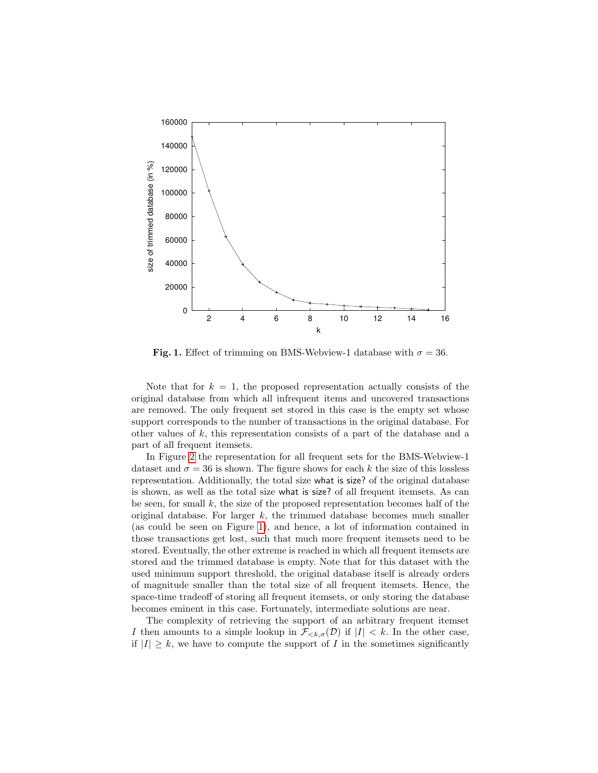

<span id="page-4-0"></span>Fig. 1. Effect of trimming on BMS-Webview-1 database with  $\sigma = 36$ .

Note that for  $k = 1$ , the proposed representation actually consists of the original database from which all infrequent items and uncovered transactions are removed. The only frequent set stored in this case is the empty set whose support corresponds to the number of transactions in the original database. For other values of k, this representation consists of a part of the database and a part of all frequent itemsets.

In Figure [2](#page-5-0) the representation for all frequent sets for the BMS-Webview-1 dataset and  $\sigma = 36$  is shown. The figure shows for each k the size of this lossless representation. Additionally, the total size what is size? of the original database is shown, as well as the total size what is size? of all frequent itemsets. As can be seen, for small  $k$ , the size of the proposed representation becomes half of the original database. For larger  $k$ , the trimmed database becomes much smaller (as could be seen on Figure [1\)](#page-4-0), and hence, a lot of information contained in those transactions get lost, such that much more frequent itemsets need to be stored. Eventually, the other extreme is reached in which all frequent itemsets are stored and the trimmed database is empty. Note that for this dataset with the used minimum support threshold, the original database itself is already orders of magnitude smaller than the total size of all frequent itemsets. Hence, the space-time tradeoff of storing all frequent itemsets, or only storing the database becomes eminent in this case. Fortunately, intermediate solutions are near.

The complexity of retrieving the support of an arbitrary frequent itemset I then amounts to a simple lookup in  $\mathcal{F}_{\leq k,\sigma}(\mathcal{D})$  if  $|I| < k$ . In the other case, if  $|I| \geq k$ , we have to compute the support of I in the sometimes significantly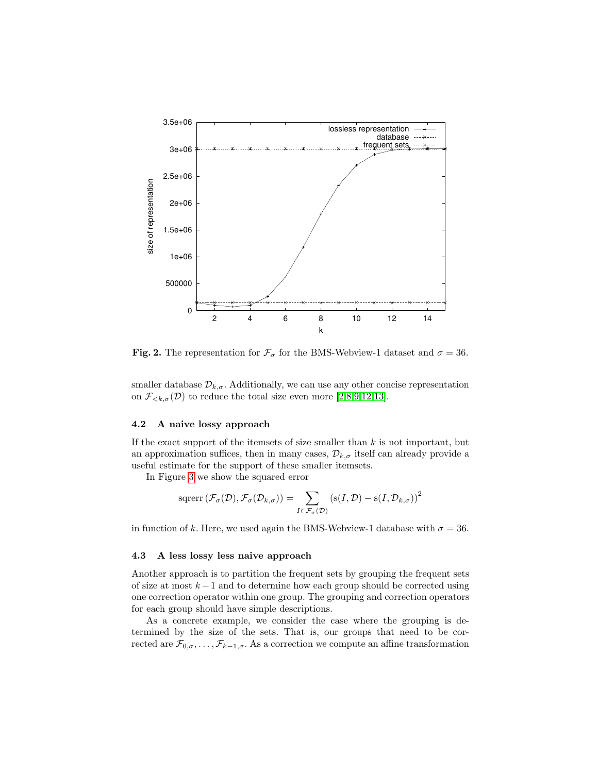

<span id="page-5-0"></span>**Fig. 2.** The representation for  $\mathcal{F}_{\sigma}$  for the BMS-Webview-1 dataset and  $\sigma = 36$ .

smaller database  $\mathcal{D}_{k,\sigma}$ . Additionally, we can use any other concise representation on  $\mathcal{F}_{\leq k,\sigma}(\mathcal{D})$  to reduce the total size even more [\[2,](#page-8-0)[8,](#page-8-9)[9](#page-8-10)[,12](#page-9-1)[,13\]](#page-9-2).

### 4.2 A naive lossy approach

If the exact support of the itemsets of size smaller than  $k$  is not important, but an approximation suffices, then in many cases,  $\mathcal{D}_{k,\sigma}$  itself can already provide a useful estimate for the support of these smaller itemsets.

In Figure [3](#page-6-0) we show the squared error

$$
s \operatorname{qrerr} (\mathcal{F}_{\sigma} (\mathcal{D}), \mathcal{F}_{\sigma} (\mathcal{D}_{k, \sigma})) = \sum_{I \in \mathcal{F}_{\sigma} (\mathcal{D})} (s(I, \mathcal{D}) - s(I, \mathcal{D}_{k, \sigma}))^{2}
$$

in function of k. Here, we used again the BMS-Webview-1 database with  $\sigma = 36$ .

### 4.3 A less lossy less naive approach

Another approach is to partition the frequent sets by grouping the frequent sets of size at most  $k-1$  and to determine how each group should be corrected using one correction operator within one group. The grouping and correction operators for each group should have simple descriptions.

As a concrete example, we consider the case where the grouping is determined by the size of the sets. That is, our groups that need to be corrected are  $\mathcal{F}_{0,\sigma}, \ldots, \mathcal{F}_{k-1,\sigma}$ . As a correction we compute an affine transformation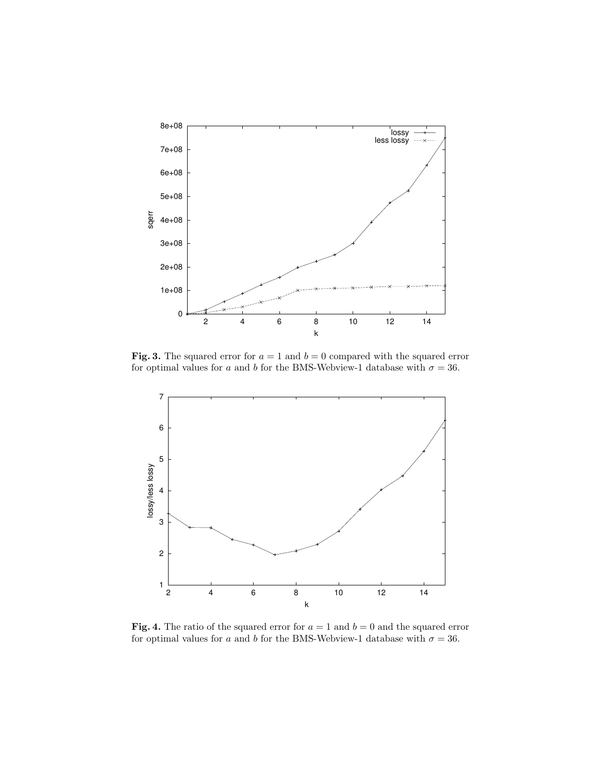

<span id="page-6-0"></span>Fig. 3. The squared error for  $a = 1$  and  $b = 0$  compared with the squared error for optimal values for a and b for the BMS-Webview-1 database with  $\sigma = 36$ .



<span id="page-6-1"></span>**Fig. 4.** The ratio of the squared error for  $a = 1$  and  $b = 0$  and the squared error for optimal values for a and b for the BMS-Webview-1 database with  $\sigma = 36$ .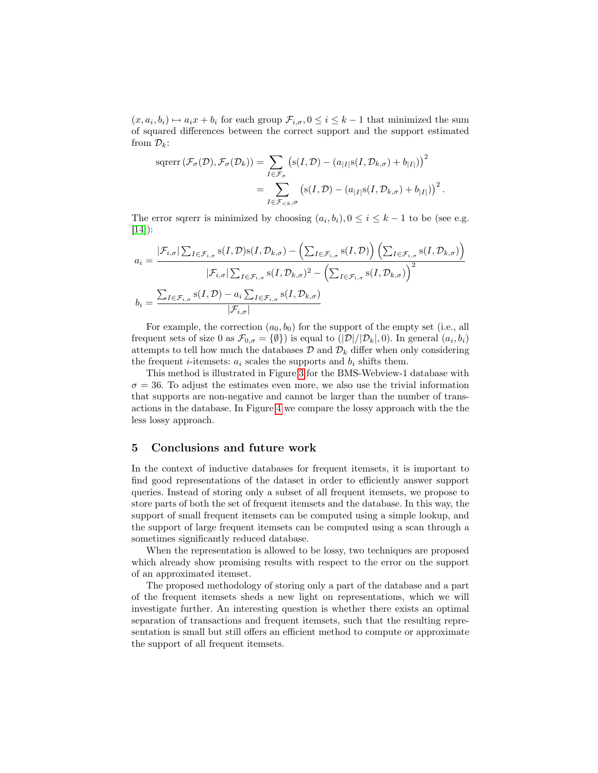$(x, a_i, b_i) \mapsto a_i x + b_i$  for each group  $\mathcal{F}_{i, \sigma}, 0 \leq i \leq k-1$  that minimized the sum of squared differences between the correct support and the support estimated from  $\mathcal{D}_k$ :

$$
sqrerr\left(\mathcal{F}_{\sigma}(\mathcal{D}), \mathcal{F}_{\sigma}(\mathcal{D}_{k})\right) = \sum_{I \in \mathcal{F}_{\sigma}} \left(s(I, \mathcal{D}) - \left(a_{|I|} s(I, \mathcal{D}_{k,\sigma}) + b_{|I|}\right)\right)^{2}
$$

$$
= \sum_{I \in \mathcal{F}_{\leq k}, \sigma} \left(s(I, \mathcal{D}) - \left(a_{|I|} s(I, \mathcal{D}_{k,\sigma}) + b_{|I|}\right)\right)^{2}.
$$

The error sqrerr is minimized by choosing  $(a_i, b_i)$ ,  $0 \le i \le k - 1$  to be (see e.g. [\[14\]](#page-9-3)):

$$
a_{i} = \frac{|\mathcal{F}_{i,\sigma}| \sum_{I \in \mathcal{F}_{i,\sigma}} s(I, \mathcal{D}) s(I, \mathcal{D}_{k,\sigma}) - \left(\sum_{I \in \mathcal{F}_{i,\sigma}} s(I, \mathcal{D})\right) \left(\sum_{I \in \mathcal{F}_{i,\sigma}} s(I, \mathcal{D}_{k,\sigma})\right)}{|\mathcal{F}_{i,\sigma}| \sum_{I \in \mathcal{F}_{i,\sigma}} s(I, \mathcal{D}_{k,\sigma})^{2} - \left(\sum_{I \in \mathcal{F}_{i,\sigma}} s(I, \mathcal{D}_{k,\sigma})\right)^{2}}
$$

$$
b_{i} = \frac{\sum_{I \in \mathcal{F}_{i,\sigma}} s(I, \mathcal{D}) - a_{i} \sum_{I \in \mathcal{F}_{i,\sigma}} s(I, \mathcal{D}_{k,\sigma})}{|\mathcal{F}_{i,\sigma}|}
$$

For example, the correction  $(a_0, b_0)$  for the support of the empty set (i.e., all frequent sets of size 0 as  $\mathcal{F}_{0,\sigma} = \{\emptyset\}$  is equal to  $(|\mathcal{D}|/|\mathcal{D}_k|, 0)$ . In general  $(a_i, b_i)$ attempts to tell how much the databases  $\mathcal{D}$  and  $\mathcal{D}_k$  differ when only considering the frequent *i*-itemsets:  $a_i$  scales the supports and  $b_i$  shifts them.

This method is illustrated in Figure [3](#page-6-0) for the BMS-Webview-1 database with  $\sigma = 36$ . To adjust the estimates even more, we also use the trivial information that supports are non-negative and cannot be larger than the number of transactions in the database. In Figure [4](#page-6-1) we compare the lossy approach with the the less lossy approach.

## <span id="page-7-0"></span>5 Conclusions and future work

In the context of inductive databases for frequent itemsets, it is important to find good representations of the dataset in order to efficiently answer support queries. Instead of storing only a subset of all frequent itemsets, we propose to store parts of both the set of frequent itemsets and the database. In this way, the support of small frequent itemsets can be computed using a simple lookup, and the support of large frequent itemsets can be computed using a scan through a sometimes significantly reduced database.

When the representation is allowed to be lossy, two techniques are proposed which already show promising results with respect to the error on the support of an approximated itemset.

The proposed methodology of storing only a part of the database and a part of the frequent itemsets sheds a new light on representations, which we will investigate further. An interesting question is whether there exists an optimal separation of transactions and frequent itemsets, such that the resulting representation is small but still offers an efficient method to compute or approximate the support of all frequent itemsets.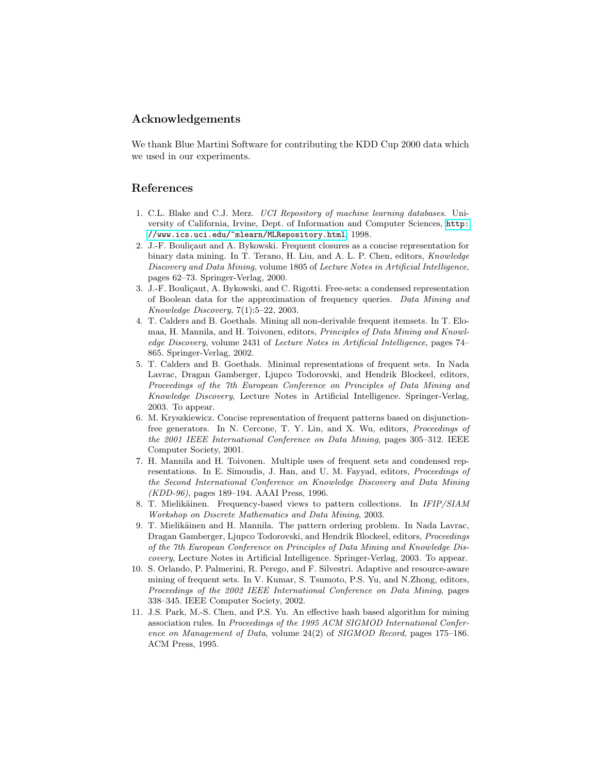## Acknowledgements

We thank Blue Martini Software for contributing the KDD Cup 2000 data which we used in our experiments.

## References

- <span id="page-8-8"></span>1. C.L. Blake and C.J. Merz. UCI Repository of machine learning databases. University of California, Irvine, Dept. of Information and Computer Sciences, [http:](http://www.ics.uci.edu/~mlearn/MLRepository.html) [//www.ics.uci.edu/~mlearn/MLRepository.html](http://www.ics.uci.edu/~mlearn/MLRepository.html), 1998.
- <span id="page-8-0"></span>2. J.-F. Bouliçaut and A. Bykowski. Frequent closures as a concise representation for binary data mining. In T. Terano, H. Liu, and A. L. P. Chen, editors, Knowledge Discovery and Data Mining, volume 1805 of Lecture Notes in Artificial Intelligence, pages 62–73. Springer-Verlag, 2000.
- <span id="page-8-1"></span>3. J.-F. Bouliçaut, A. Bykowski, and C. Rigotti. Free-sets: a condensed representation of Boolean data for the approximation of frequency queries. Data Mining and Knowledge Discovery, 7(1):5–22, 2003.
- <span id="page-8-2"></span>4. T. Calders and B. Goethals. Mining all non-derivable frequent itemsets. In T. Elomaa, H. Mannila, and H. Toivonen, editors, Principles of Data Mining and Knowledge Discovery, volume 2431 of Lecture Notes in Artificial Intelligence, pages 74– 865. Springer-Verlag, 2002.
- <span id="page-8-3"></span>5. T. Calders and B. Goethals. Minimal representations of frequent sets. In Nada Lavrac, Dragan Gamberger, Ljupco Todorovski, and Hendrik Blockeel, editors, Proceedings of the 7th European Conference on Principles of Data Mining and Knowledge Discovery, Lecture Notes in Artificial Intelligence. Springer-Verlag, 2003. To appear.
- <span id="page-8-4"></span>6. M. Kryszkiewicz. Concise representation of frequent patterns based on disjunctionfree generators. In N. Cercone, T. Y. Lin, and X. Wu, editors, Proceedings of the 2001 IEEE International Conference on Data Mining, pages 305–312. IEEE Computer Society, 2001.
- <span id="page-8-5"></span>7. H. Mannila and H. Toivonen. Multiple uses of frequent sets and condensed representations. In E. Simoudis, J. Han, and U. M. Fayyad, editors, Proceedings of the Second International Conference on Knowledge Discovery and Data Mining (KDD-96), pages 189–194. AAAI Press, 1996.
- <span id="page-8-9"></span>8. T. Mielikäinen. Frequency-based views to pattern collections. In IFIP/SIAM Workshop on Discrete Mathematics and Data Mining, 2003.
- <span id="page-8-10"></span>9. T. Mielikäinen and H. Mannila. The pattern ordering problem. In Nada Lavrac, Dragan Gamberger, Ljupco Todorovski, and Hendrik Blockeel, editors, Proceedings of the 7th European Conference on Principles of Data Mining and Knowledge Discovery, Lecture Notes in Artificial Intelligence. Springer-Verlag, 2003. To appear.
- <span id="page-8-7"></span>10. S. Orlando, P. Palmerini, R. Perego, and F. Silvestri. Adaptive and resource-aware mining of frequent sets. In V. Kumar, S. Tsumoto, P.S. Yu, and N.Zhong, editors, Proceedings of the 2002 IEEE International Conference on Data Mining, pages 338–345. IEEE Computer Society, 2002.
- <span id="page-8-6"></span>11. J.S. Park, M.-S. Chen, and P.S. Yu. An effective hash based algorithm for mining association rules. In Proceedings of the 1995 ACM SIGMOD International Conference on Management of Data, volume 24(2) of SIGMOD Record, pages 175–186. ACM Press, 1995.